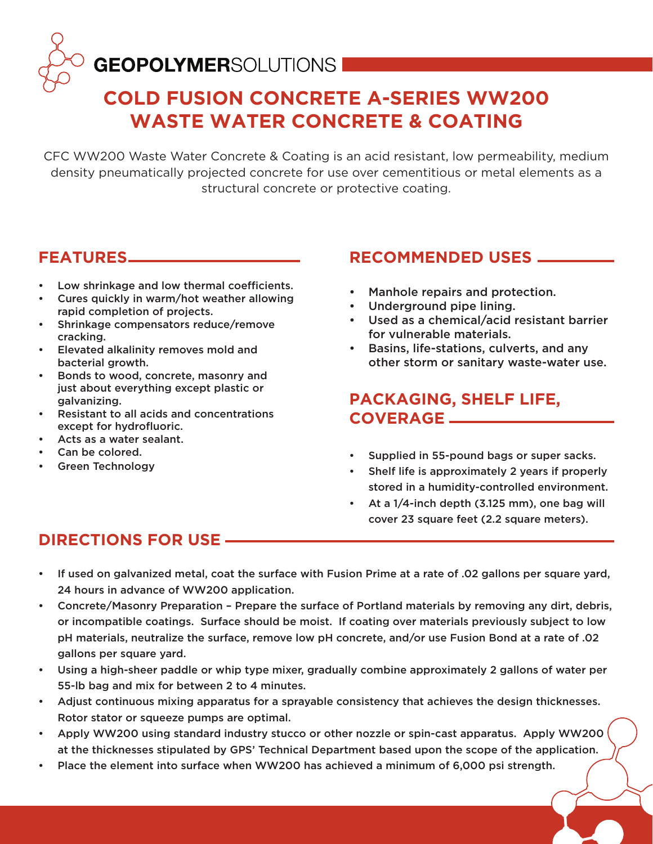# **GEOPOLYMER**SOLUTIONS

## **COLD FUSION CONCRETE A-SERIES WW200 WASTE WATER CONCRETE & COATING**

CFC WW200 Waste Water Concrete & Coating is an acid resistant, low permeability, medium density pneumatically projected concrete for use over cementitious or metal elements as a structural concrete or protective coating.

#### **FEATURES**

- Low shrinkage and low thermal coefficients.
- Cures quickly in warm/hot weather allowing rapid completion of projects.
- Shrinkage compensators reduce/remove cracking.
- Elevated alkalinity removes mold and bacterial growth.
- Bonds to wood, concrete, masonry and just about everything except plastic or galvanizing.
- Resistant to all acids and concentrations except for hydrofluoric.
- Acts as a water sealant.
- Can be colored.
- Green Technology

#### **RECOMMENDED USES**

- Manhole repairs and protection.
- Underground pipe lining.
- Used as a chemical/acid resistant barrier for vulnerable materials.
- Basins, life-stations, culverts, and any other storm or sanitary waste-water use.

#### **PACKAGING, SHELF LIFE, COVERAGE**

- Supplied in 55-pound bags or super sacks.
- Shelf life is approximately 2 years if properly stored in a humidity-controlled environment.
- At a 1/4-inch depth (3.125 mm), one bag will cover 23 square feet (2.2 square meters).

### **DIRECTIONS FOR USE**

- If used on galvanized metal, coat the surface with Fusion Prime at a rate of .02 gallons per square yard, 24 hours in advance of WW200 application.
- Concrete/Masonry Preparation Prepare the surface of Portland materials by removing any dirt, debris, or incompatible coatings. Surface should be moist. If coating over materials previously subject to low pH materials, neutralize the surface, remove low pH concrete, and/or use Fusion Bond at a rate of .02 gallons per square yard.
- Using a high-sheer paddle or whip type mixer, gradually combine approximately 2 gallons of water per 55-lb bag and mix for between 2 to 4 minutes.
- Adjust continuous mixing apparatus for a sprayable consistency that achieves the design thicknesses. Rotor stator or squeeze pumps are optimal.
- Apply WW200 using standard industry stucco or other nozzle or spin-cast apparatus. Apply WW200 at the thicknesses stipulated by GPS' Technical Department based upon the scope of the application.
- Place the element into surface when WW200 has achieved a minimum of 6,000 psi strength.